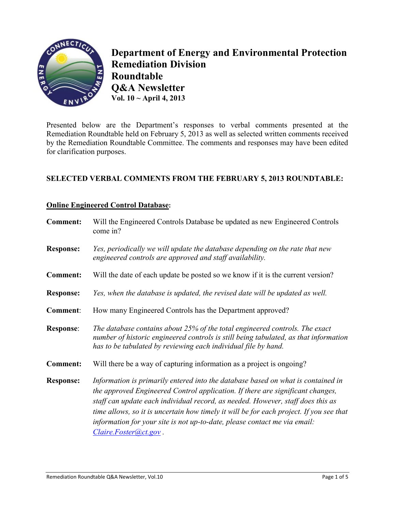

**Department of Energy and Environmental Protection Remediation Division Roundtable Q&A Newsletter Vol. 10 ~ April 4, 2013** 

Presented below are the Department's responses to verbal comments presented at the Remediation Roundtable held on February 5, 2013 as well as selected written comments received by the Remediation Roundtable Committee. The comments and responses may have been edited for clarification purposes.

# **SELECTED VERBAL COMMENTS FROM THE FEBRUARY 5, 2013 ROUNDTABLE:**

## **Online Engineered Control Database:**

| <b>Comment:</b>  | Will the Engineered Controls Database be updated as new Engineered Controls<br>come in?                                                                                                                                                                                                                                                                                                                                                                |
|------------------|--------------------------------------------------------------------------------------------------------------------------------------------------------------------------------------------------------------------------------------------------------------------------------------------------------------------------------------------------------------------------------------------------------------------------------------------------------|
| <b>Response:</b> | Yes, periodically we will update the database depending on the rate that new<br>engineered controls are approved and staff availability.                                                                                                                                                                                                                                                                                                               |
| <b>Comment:</b>  | Will the date of each update be posted so we know if it is the current version?                                                                                                                                                                                                                                                                                                                                                                        |
| <b>Response:</b> | Yes, when the database is updated, the revised date will be updated as well.                                                                                                                                                                                                                                                                                                                                                                           |
| Comment:         | How many Engineered Controls has the Department approved?                                                                                                                                                                                                                                                                                                                                                                                              |
| <b>Response:</b> | The database contains about 25% of the total engineered controls. The exact<br>number of historic engineered controls is still being tabulated, as that information<br>has to be tabulated by reviewing each individual file by hand.                                                                                                                                                                                                                  |
| <b>Comment:</b>  | Will there be a way of capturing information as a project is ongoing?                                                                                                                                                                                                                                                                                                                                                                                  |
| <b>Response:</b> | Information is primarily entered into the database based on what is contained in<br>the approved Engineered Control application. If there are significant changes,<br>staff can update each individual record, as needed. However, staff does this as<br>time allows, so it is uncertain how timely it will be for each project. If you see that<br>information for your site is not up-to-date, please contact me via email:<br>Claire.Foster@ct.gov. |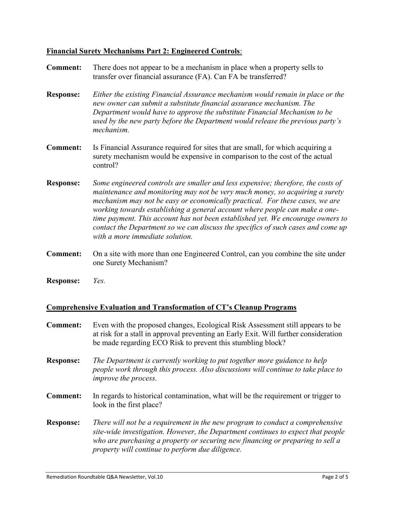### **Financial Surety Mechanisms Part 2: Engineered Controls**:

- **Comment:** There does not appear to be a mechanism in place when a property sells to transfer over financial assurance (FA). Can FA be transferred?
- **Response:** *Either the existing Financial Assurance mechanism would remain in place or the new owner can submit a substitute financial assurance mechanism. The Department would have to approve the substitute Financial Mechanism to be used by the new party before the Department would release the previous party's mechanism.*
- **Comment:** Is Financial Assurance required for sites that are small, for which acquiring a surety mechanism would be expensive in comparison to the cost of the actual control?
- **Response:** *Some engineered controls are smaller and less expensive; therefore, the costs of maintenance and monitoring may not be very much money, so acquiring a surety mechanism may not be easy or economically practical. For these cases, we are working towards establishing a general account where people can make a onetime payment. This account has not been established yet. We encourage owners to contact the Department so we can discuss the specifics of such cases and come up with a more immediate solution.*
- **Comment:** On a site with more than one Engineered Control, can you combine the site under one Surety Mechanism?
- **Response:** *Yes.*

#### **Comprehensive Evaluation and Transformation of CT's Cleanup Programs**

- **Comment:** Even with the proposed changes, Ecological Risk Assessment still appears to be at risk for a stall in approval preventing an Early Exit. Will further consideration be made regarding ECO Risk to prevent this stumbling block?
- **Response:** *The Department is currently working to put together more guidance to help people work through this process. Also discussions will continue to take place to improve the process.*
- **Comment:** In regards to historical contamination, what will be the requirement or trigger to look in the first place?
- **Response:** *There will not be a requirement in the new program to conduct a comprehensive site-wide investigation. However, the Department continues to expect that people who are purchasing a property or securing new financing or preparing to sell a property will continue to perform due diligence.*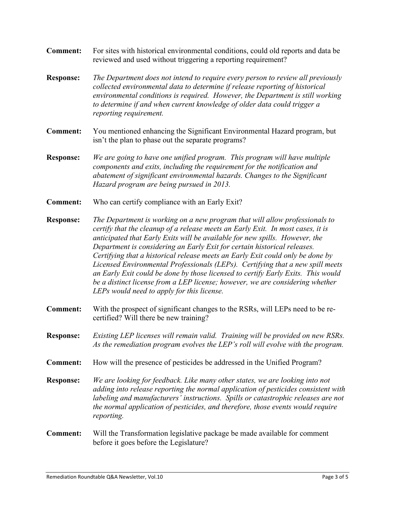- **Comment:** For sites with historical environmental conditions, could old reports and data be reviewed and used without triggering a reporting requirement?
- **Response:** *The Department does not intend to require every person to review all previously collected environmental data to determine if release reporting of historical environmental conditions is required. However, the Department is still working to determine if and when current knowledge of older data could trigger a reporting requirement.*
- **Comment:** You mentioned enhancing the Significant Environmental Hazard program, but isn't the plan to phase out the separate programs?
- **Response:** *We are going to have one unified program. This program will have multiple components and exits, including the requirement for the notification and abatement of significant environmental hazards. Changes to the Significant Hazard program are being pursued in 2013.*
- **Comment:** Who can certify compliance with an Early Exit?
- **Response:** *The Department is working on a new program that will allow professionals to certify that the cleanup of a release meets an Early Exit. In most cases, it is anticipated that Early Exits will be available for new spills. However, the Department is considering an Early Exit for certain historical releases. Certifying that a historical release meets an Early Exit could only be done by Licensed Environmental Professionals (LEPs). Certifying that a new spill meets an Early Exit could be done by those licensed to certify Early Exits. This would be a distinct license from a LEP license; however, we are considering whether LEPs would need to apply for this license.*
- **Comment:** With the prospect of significant changes to the RSRs, will LEPs need to be recertified? Will there be new training?
- **Response:** *Existing LEP licenses will remain valid. Training will be provided on new RSRs. As the remediation program evolves the LEP's roll will evolve with the program.*
- **Comment:** How will the presence of pesticides be addressed in the Unified Program?
- **Response:** *We are looking for feedback. Like many other states, we are looking into not adding into release reporting the normal application of pesticides consistent with labeling and manufacturers' instructions. Spills or catastrophic releases are not the normal application of pesticides, and therefore, those events would require reporting.*
- **Comment:** Will the Transformation legislative package be made available for comment before it goes before the Legislature?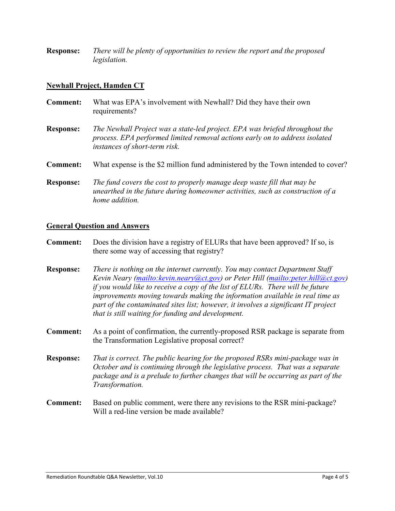**Response:** *There will be plenty of opportunities to review the report and the proposed legislation.* 

#### **Newhall Project, Hamden CT**

| <b>Comment:</b>  | What was EPA's involvement with Newhall? Did they have their own<br>requirements?                                                                                                           |
|------------------|---------------------------------------------------------------------------------------------------------------------------------------------------------------------------------------------|
| <b>Response:</b> | The Newhall Project was a state-led project. EPA was briefed throughout the<br>process. EPA performed limited removal actions early on to address isolated<br>instances of short-term risk. |
| <b>Comment:</b>  | What expense is the \$2 million fund administered by the Town intended to cover?                                                                                                            |
| <b>Response:</b> | The fund covers the cost to properly manage deep waste fill that may be<br>unearthed in the future during homeowner activities, such as construction of a<br>home addition.                 |

#### **General Question and Answers**

**Comment:** Does the division have a registry of ELURs that have been approved? If so, is there some way of accessing that registry?

**Response:** *There is nothing on the internet currently. You may contact Department Staff Kevin Neary [\(mailto:kevin.neary@ct.gov\)](mailto:kevin.neary@ct.gov) or Peter Hill [\(mailto:peter.hill@ct.gov\)](mailto:peter.hill@ct.gov) if you would like to receive a copy of the list of ELURs. There will be future improvements moving towards making the information available in real time as part of the contaminated sites list; however, it involves a significant IT project that is still waiting for funding and development.*

**Comment:** As a point of confirmation, the currently-proposed RSR package is separate from the Transformation Legislative proposal correct?

**Response:** *That is correct. The public hearing for the proposed RSRs mini-package was in October and is continuing through the legislative process. That was a separate package and is a prelude to further changes that will be occurring as part of the Transformation.*

**Comment:** Based on public comment, were there any revisions to the RSR mini-package? Will a red-line version be made available?